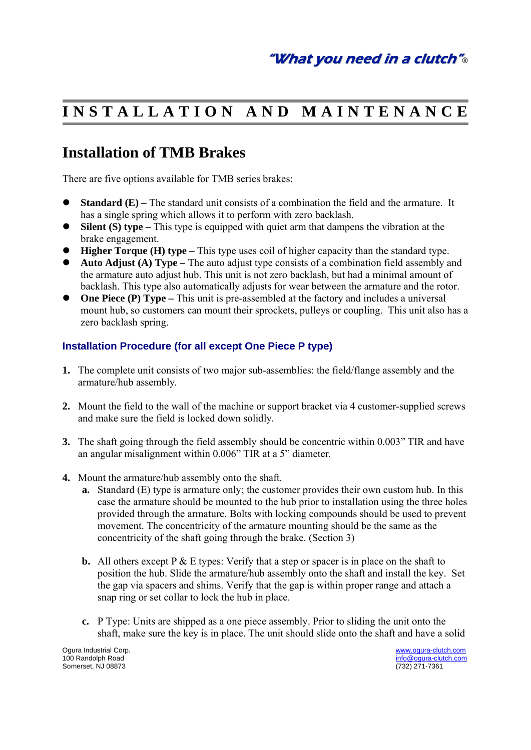# **I N S T A L L A T I O N A N D M A I N T E N A N C E**

## **Installation of TMB Brakes**

There are five options available for TMB series brakes:

- **Standard (E)** The standard unit consists of a combination the field and the armature. It has a single spring which allows it to perform with zero backlash.
- **Silent (S) type** This type is equipped with quiet arm that dampens the vibration at the brake engagement.
- **Higher Torque (H) type This type uses coil of higher capacity than the standard type.**
- **Auto Adjust (A) Type** The auto adjust type consists of a combination field assembly and the armature auto adjust hub. This unit is not zero backlash, but had a minimal amount of backlash. This type also automatically adjusts for wear between the armature and the rotor.
- One Piece (P) Type This unit is pre-assembled at the factory and includes a universal mount hub, so customers can mount their sprockets, pulleys or coupling. This unit also has a zero backlash spring.

#### **Installation Procedure (for all except One Piece P type)**

- **1.** The complete unit consists of two major sub-assemblies: the field/flange assembly and the armature/hub assembly.
- **2.** Mount the field to the wall of the machine or support bracket via 4 customer-supplied screws and make sure the field is locked down solidly.
- **3.** The shaft going through the field assembly should be concentric within 0.003" TIR and have an angular misalignment within 0.006" TIR at a 5" diameter.
- **4.** Mount the armature/hub assembly onto the shaft.
	- **a.** Standard (E) type is armature only; the customer provides their own custom hub. In this case the armature should be mounted to the hub prior to installation using the three holes provided through the armature. Bolts with locking compounds should be used to prevent movement. The concentricity of the armature mounting should be the same as the concentricity of the shaft going through the brake. (Section 3)
	- **b.** All others except  $P \& E$  types: Verify that a step or spacer is in place on the shaft to position the hub. Slide the armature/hub assembly onto the shaft and install the key. Set the gap via spacers and shims. Verify that the gap is within proper range and attach a snap ring or set collar to lock the hub in place.
	- **c.** P Type: Units are shipped as a one piece assembly. Prior to sliding the unit onto the shaft, make sure the key is in place. The unit should slide onto the shaft and have a solid

Somerset, NJ 08873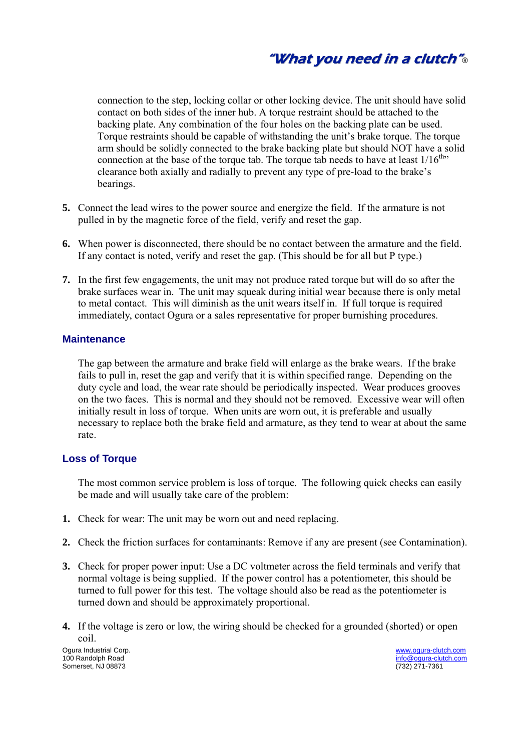connection to the step, locking collar or other locking device. The unit should have solid contact on both sides of the inner hub. A torque restraint should be attached to the backing plate. Any combination of the four holes on the backing plate can be used. Torque restraints should be capable of withstanding the unit's brake torque. The torque arm should be solidly connected to the brake backing plate but should NOT have a solid connection at the base of the torque tab. The torque tab needs to have at least  $1/16^{th}$ . clearance both axially and radially to prevent any type of pre-load to the brake's bearings.

- **5.** Connect the lead wires to the power source and energize the field. If the armature is not pulled in by the magnetic force of the field, verify and reset the gap.
- **6.** When power is disconnected, there should be no contact between the armature and the field. If any contact is noted, verify and reset the gap. (This should be for all but P type.)
- **7.** In the first few engagements, the unit may not produce rated torque but will do so after the brake surfaces wear in. The unit may squeak during initial wear because there is only metal to metal contact. This will diminish as the unit wears itself in. If full torque is required immediately, contact Ogura or a sales representative for proper burnishing procedures.

#### **Maintenance**

 The gap between the armature and brake field will enlarge as the brake wears. If the brake fails to pull in, reset the gap and verify that it is within specified range. Depending on the duty cycle and load, the wear rate should be periodically inspected. Wear produces grooves on the two faces. This is normal and they should not be removed. Excessive wear will often initially result in loss of torque. When units are worn out, it is preferable and usually necessary to replace both the brake field and armature, as they tend to wear at about the same rate.

#### **Loss of Torque**

 The most common service problem is loss of torque. The following quick checks can easily be made and will usually take care of the problem:

- **1.** Check for wear: The unit may be worn out and need replacing.
- **2.** Check the friction surfaces for contaminants: Remove if any are present (see Contamination).
- **3.** Check for proper power input: Use a DC voltmeter across the field terminals and verify that normal voltage is being supplied. If the power control has a potentiometer, this should be turned to full power for this test. The voltage should also be read as the potentiometer is turned down and should be approximately proportional.
- **4.** If the voltage is zero or low, the wiring should be checked for a grounded (shorted) or open coil.

Ogura Industrial Corp. www.ogura-clutch.com Somerset, NJ 08873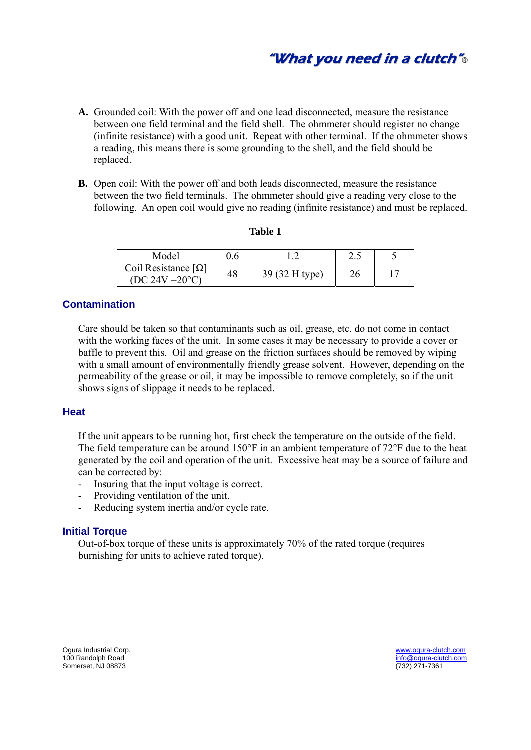"What you need in <sup>a</sup> clutch"®

- **A.** Grounded coil: With the power off and one lead disconnected, measure the resistance between one field terminal and the field shell. The ohmmeter should register no change (infinite resistance) with a good unit. Repeat with other terminal. If the ohmmeter shows a reading, this means there is some grounding to the shell, and the field should be replaced.
- **B.** Open coil: With the power off and both leads disconnected, measure the resistance between the two field terminals. The ohmmeter should give a reading very close to the following. An open coil would give no reading (infinite resistance) and must be replaced.

| m<br>ш<br>н |  |
|-------------|--|
|             |  |

| Model                                           |    |                |     |  |
|-------------------------------------------------|----|----------------|-----|--|
| Coil Resistance $[\Omega]$<br>$(DC 24V = 20°C)$ | 48 | 39 (32 H type) | ን ራ |  |

#### **Contamination**

 Care should be taken so that contaminants such as oil, grease, etc. do not come in contact with the working faces of the unit. In some cases it may be necessary to provide a cover or baffle to prevent this. Oil and grease on the friction surfaces should be removed by wiping with a small amount of environmentally friendly grease solvent. However, depending on the permeability of the grease or oil, it may be impossible to remove completely, so if the unit shows signs of slippage it needs to be replaced.

#### **Heat**

 If the unit appears to be running hot, first check the temperature on the outside of the field. The field temperature can be around 150°F in an ambient temperature of 72°F due to the heat generated by the coil and operation of the unit. Excessive heat may be a source of failure and can be corrected by:

- Insuring that the input voltage is correct.
- Providing ventilation of the unit.
- Reducing system inertia and/or cycle rate.

#### **Initial Torque**

 Out-of-box torque of these units is approximately 70% of the rated torque (requires burnishing for units to achieve rated torque).

Ogura Industrial Corp. www.ogura-clutch.com Somerset, NJ 08873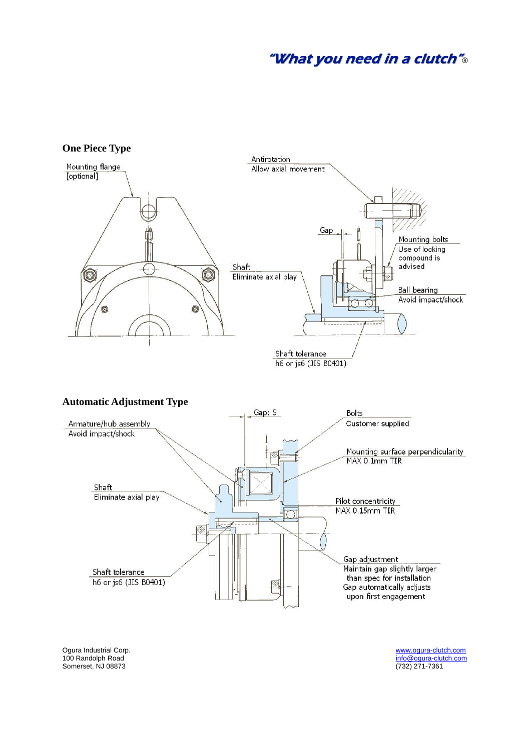### "What you need in a clutch"®



Somerset, NJ 08873

Ogura Industrial Corp.<br>
100 Randolph Road info@ogura-clutch.com info@ogura-clutch.com info@ogura-clutch.com info@ogura-clutch.com<br>(732) 271-7361